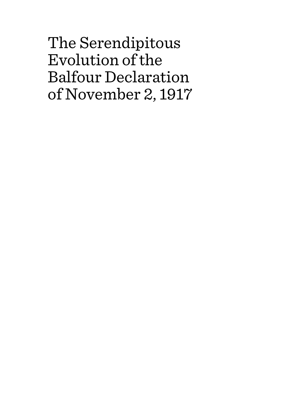The Serendipitous Evolution of the Balfour Declaration of November 2, 1917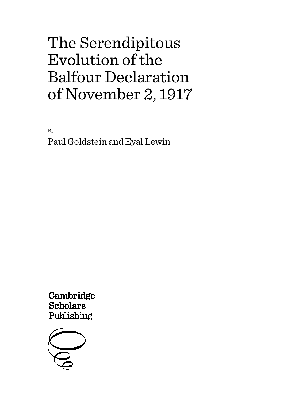# The Serendipitous Evolution of the Balfour Declaration of November 2, 1917

By

Paul Goldstein and Eyal Lewin

Cambridge **Scholars** Publishing

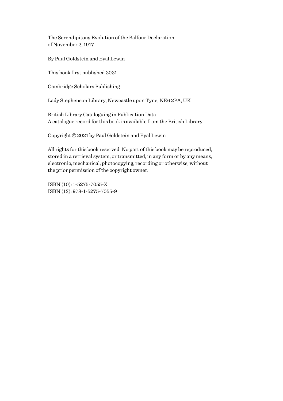The Serendipitous Evolution of the Balfour Declaration of November 2, 1917

By Paul Goldstein and Eyal Lewin

This book first published 2021

Cambridge Scholars Publishing

Lady Stephenson Library, Newcastle upon Tyne, NE6 2PA, UK

British Library Cataloguing in Publication Data A catalogue record for this book is available from the British Library

Copyright © 2021 by Paul Goldstein and Eyal Lewin

All rights for this book reserved. No part of this book may be reproduced, stored in a retrieval system, or transmitted, in any form or by any means, electronic, mechanical, photocopying, recording or otherwise, without the prior permission of the copyright owner.

ISBN (10): 1-5275-7055-X ISBN (13): 978-1-5275-7055-9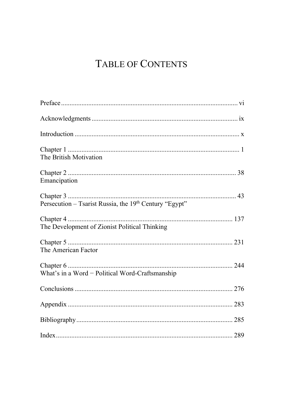# TABLE OF CONTENTS

| The British Motivation                                 |  |
|--------------------------------------------------------|--|
| Emancipation                                           |  |
| Persecution - Tsarist Russia, the 19th Century "Egypt" |  |
| The Development of Zionist Political Thinking          |  |
| The American Factor                                    |  |
| What's in a Word - Political Word-Craftsmanship        |  |
|                                                        |  |
|                                                        |  |
|                                                        |  |
|                                                        |  |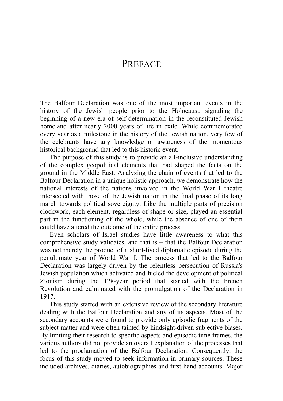# PREFACE

The Balfour Declaration was one of the most important events in the history of the Jewish people prior to the Holocaust, signaling the beginning of a new era of self-determination in the reconstituted Jewish homeland after nearly 2000 years of life in exile. While commemorated every year as a milestone in the history of the Jewish nation, very few of the celebrants have any knowledge or awareness of the momentous historical background that led to this historic event.

The purpose of this study is to provide an all-inclusive understanding of the complex geopolitical elements that had shaped the facts on the ground in the Middle East. Analyzing the chain of events that led to the Balfour Declaration in a unique holistic approach, we demonstrate how the national interests of the nations involved in the World War I theatre intersected with those of the Jewish nation in the final phase of its long march towards political sovereignty. Like the multiple parts of precision clockwork, each element, regardless of shape or size, played an essential part in the functioning of the whole, while the absence of one of them could have altered the outcome of the entire process.

Even scholars of Israel studies have little awareness to what this comprehensive study validates, and that is – that the Balfour Declaration was not merely the product of a short-lived diplomatic episode during the penultimate year of World War I. The process that led to the Balfour Declaration was largely driven by the relentless persecution of Russia's Jewish population which activated and fueled the development of political Zionism during the 128-year period that started with the French Revolution and culminated with the promulgation of the Declaration in 1917.

This study started with an extensive review of the secondary literature dealing with the Balfour Declaration and any of its aspects. Most of the secondary accounts were found to provide only episodic fragments of the subject matter and were often tainted by hindsight-driven subjective biases. By limiting their research to specific aspects and episodic time frames, the various authors did not provide an overall explanation of the processes that led to the proclamation of the Balfour Declaration. Consequently, the focus of this study moved to seek information in primary sources. These included archives, diaries, autobiographies and first-hand accounts. Major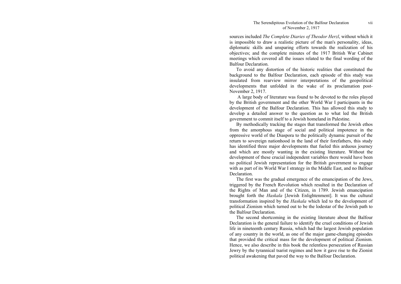sources included *The Complete Diaries of Theodor Herzl*, without which it is impossible to draw a realistic picture of the man's personality, ideas, diplomatic skills and unsparing efforts towards the realization of his objectives; and the complete minutes of the 1917 British War Cabinet meetings which covered all the issues related to the final wording of the Balfour Declaration.

To avoid any distortion of the historic realities that constituted the background to the Balfour Declaration, each episode of this study was insulated from rearview mirror interpretations of the geopolitical developments that unfolded in the wake of its proclamation post-November 2, 1917.

 A large body of literature was found to be devoted to the roles played by the British government and the other World War I participants in the development of the Balfour Declaration. This has allowed this study to develop a detailed answer to the question as to what led the British government to commit itself to a Jewish homeland in Palestine.

By methodically tracking the stages that transformed the Jewish ethos from the amorphous stage of social and political impotence in the oppressive world of the Diaspora to the politically dynamic pursuit of the return to sovereign nationhood in the land of their forefathers, this study has identified three major developments that fueled this arduous journey and which are mostly wanting in the existing literature. Without the development of these crucial independent variables there would have been no political Jewish representation for the British government to engage with as part of its World War I strategy in the Middle East, and no Balfour Declaration.

The first was the gradual emergence of the emancipation of the Jews, triggered by the French Revolution which resulted in the Declaration of the Rights of Man and of the Citizen, in 1789. Jewish emancipation brought forth the *Haskala* [Jewish Enlightenment]. It was the cultural transformation inspired by the *Haskala* which led to the development of political Zionism which turned out to be the lodestar of the Jewish path to the Balfour Declaration.

The second shortcoming in the existing literature about the Balfour Declaration is the general failure to identify the cruel conditions of Jewish life in nineteenth century Russia, which had the largest Jewish population of any country in the world, as one of the major game-changing episodes that provided the critical mass for the development of political Zionism. Hence, we also describe in this book the relentless persecution of Russian Jewry by the tyrannical tsarist regimes and how it gave rise to the Zionist political awakening that paved the way to the Balfour Declaration.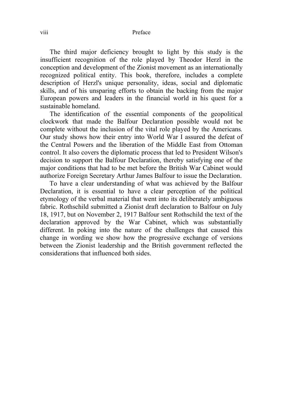viii Preface

The third major deficiency brought to light by this study is the insufficient recognition of the role played by Theodor Herzl in the conception and development of the Zionist movement as an internationally recognized political entity. This book, therefore, includes a complete description of Herzl's unique personality, ideas, social and diplomatic skills, and of his unsparing efforts to obtain the backing from the major European powers and leaders in the financial world in his quest for a sustainable homeland.

The identification of the essential components of the geopolitical clockwork that made the Balfour Declaration possible would not be complete without the inclusion of the vital role played by the Americans*.* Our study shows how their entry into World War I assured the defeat of the Central Powers and the liberation of the Middle East from Ottoman control. It also covers the diplomatic process that led to President Wilson's decision to support the Balfour Declaration, thereby satisfying one of the major conditions that had to be met before the British War Cabinet would authorize Foreign Secretary Arthur James Balfour to issue the Declaration.

To have a clear understanding of what was achieved by the Balfour Declaration, it is essential to have a clear perception of the political etymology of the verbal material that went into its deliberately ambiguous fabric. Rothschild submitted a Zionist draft declaration to Balfour on July 18, 1917, but on November 2, 1917 Balfour sent Rothschild the text of the declaration approved by the War Cabinet, which was substantially different. In poking into the nature of the challenges that caused this change in wording we show how the progressive exchange of versions between the Zionist leadership and the British government reflected the considerations that influenced both sides.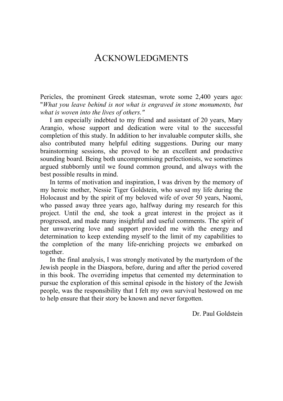### ACKNOWLEDGMENTS

Pericles, the prominent Greek statesman, wrote some 2,400 years ago: "*What you leave behind is not what is engraved in stone monuments, but what is woven into the lives of others."*

I am especially indebted to my friend and assistant of 20 years, Mary Arangio, whose support and dedication were vital to the successful completion of this study. In addition to her invaluable computer skills, she also contributed many helpful editing suggestions. During our many brainstorming sessions, she proved to be an excellent and productive sounding board. Being both uncompromising perfectionists, we sometimes argued stubbornly until we found common ground, and always with the best possible results in mind.

In terms of motivation and inspiration, I was driven by the memory of my heroic mother, Nessie Tiger Goldstein, who saved my life during the Holocaust and by the spirit of my beloved wife of over 50 years, Naomi, who passed away three years ago, halfway during my research for this project. Until the end, she took a great interest in the project as it progressed, and made many insightful and useful comments. The spirit of her unwavering love and support provided me with the energy and determination to keep extending myself to the limit of my capabilities to the completion of the many life-enriching projects we embarked on together.

In the final analysis, I was strongly motivated by the martyrdom of the Jewish people in the Diaspora, before, during and after the period covered in this book. The overriding impetus that cemented my determination to pursue the exploration of this seminal episode in the history of the Jewish people, was the responsibility that I felt my own survival bestowed on me to help ensure that their story be known and never forgotten.

Dr. Paul Goldstein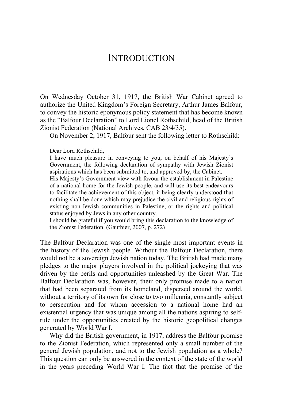### **INTRODUCTION**

On Wednesday October 31, 1917, the British War Cabinet agreed to authorize the United Kingdom's Foreign Secretary, Arthur James Balfour, to convey the historic eponymous policy statement that has become known as the "Balfour Declaration" to Lord Lionel Rothschild, head of the British Zionist Federation (National Archives, CAB 23/4/35).

On November 2, 1917, Balfour sent the following letter to Rothschild:

Dear Lord Rothschild,

I have much pleasure in conveying to you, on behalf of his Majesty's Government, the following declaration of sympathy with Jewish Zionist aspirations which has been submitted to, and approved by, the Cabinet.

His Majesty's Government view with favour the establishment in Palestine of a national home for the Jewish people, and will use its best endeavours to facilitate the achievement of this object, it being clearly understood that nothing shall be done which may prejudice the civil and religious rights of existing non-Jewish communities in Palestine, or the rights and political status enjoyed by Jews in any other country.

I should be grateful if you would bring this declaration to the knowledge of the Zionist Federation. (Gauthier, 2007, p. 272)

The Balfour Declaration was one of the single most important events in the history of the Jewish people. Without the Balfour Declaration, there would not be a sovereign Jewish nation today. The British had made many pledges to the major players involved in the political jockeying that was driven by the perils and opportunities unleashed by the Great War. The Balfour Declaration was, however, their only promise made to a nation that had been separated from its homeland, dispersed around the world, without a territory of its own for close to two millennia, constantly subject to persecution and for whom accession to a national home had an existential urgency that was unique among all the nations aspiring to selfrule under the opportunities created by the historic geopolitical changes generated by World War I.

Why did the British government, in 1917, address the Balfour promise to the Zionist Federation, which represented only a small number of the general Jewish population, and not to the Jewish population as a whole? This question can only be answered in the context of the state of the world in the years preceding World War I. The fact that the promise of the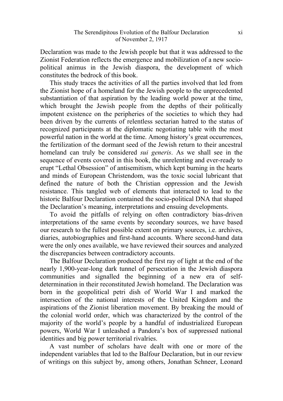Declaration was made to the Jewish people but that it was addressed to the Zionist Federation reflects the emergence and mobilization of a new sociopolitical animus in the Jewish diaspora, the development of which constitutes the bedrock of this book.

This study traces the activities of all the parties involved that led from the Zionist hope of a homeland for the Jewish people to the unprecedented substantiation of that aspiration by the leading world power at the time, which brought the Jewish people from the depths of their politically impotent existence on the peripheries of the societies to which they had been driven by the currents of relentless sectarian hatred to the status of recognized participants at the diplomatic negotiating table with the most powerful nation in the world at the time. Among history's great occurrences, the fertilization of the dormant seed of the Jewish return to their ancestral homeland can truly be considered *sui generis*. As we shall see in the sequence of events covered in this book, the unrelenting and ever-ready to erupt "Lethal Obsession" of antisemitism, which kept burning in the hearts and minds of European Christendom, was the toxic social lubricant that defined the nature of both the Christian oppression and the Jewish resistance. This tangled web of elements that interacted to lead to the historic Balfour Declaration contained the socio-political DNA that shaped the Declaration's meaning, interpretations and ensuing developments.

To avoid the pitfalls of relying on often contradictory bias-driven interpretations of the same events by secondary sources, we have based our research to the fullest possible extent on primary sources, i.e. archives, diaries, autobiographies and first-hand accounts. Where second-hand data were the only ones available, we have reviewed their sources and analyzed the discrepancies between contradictory accounts.

The Balfour Declaration produced the first ray of light at the end of the nearly 1,900-year-long dark tunnel of persecution in the Jewish diaspora communities and signalled the beginning of a new era of selfdetermination in their reconstituted Jewish homeland. The Declaration was born in the geopolitical petri dish of World War I and marked the intersection of the national interests of the United Kingdom and the aspirations of the Zionist liberation movement. By breaking the mould of the colonial world order, which was characterized by the control of the majority of the world's people by a handful of industrialized European powers, World War I unleashed a Pandora's box of suppressed national identities and big power territorial rivalries.

A vast number of scholars have dealt with one or more of the independent variables that led to the Balfour Declaration, but in our review of writings on this subject by, among others, Jonathan Schneer, Leonard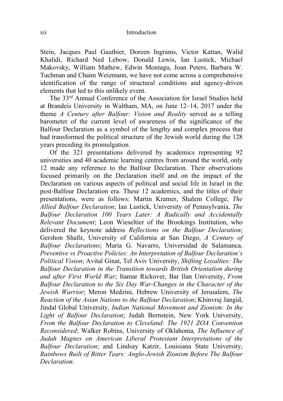Stein, Jacques Paul Gauthier, Doreen Ingrams, Victor Kattan, Walid Khalidi, Richard Ned Lebow, Donald Lewis, Ian Lustick, Michael Makovsky, William Mathew, Edwin Montagu, Joan Peters, Barbara W. Tuchman and Chaim Weizmann, we have not come across a comprehensive identification of the range of structural conditions and agency-driven elements that led to this unlikely event.

The 33rd Annual Conference of the Association for Israel Studies held at Brandeis University in Waltham, MA, on June 12–14, 2017 under the theme *A Century after Balfour: Vision and Reality* served as a telling barometer of the current level of awareness of the significance of the Balfour Declaration as a symbol of the lengthy and complex process that had transformed the political structure of the Jewish world during the 128 years preceding its promulgation.

Of the 321 presentations delivered by academics representing 92 universities and 40 academic learning centres from around the world, only 12 made any reference to the Balfour Declaration. Their observations focused primarily on the Declaration itself and on the impact of the Declaration on various aspects of political and social life in Israel in the post-Balfour Declaration era. These 12 academics, and the titles of their presentations, were as follows: Martin Kramer, Shalem College, *The Allied Balfour Declaration*; Ian Lustick, University of Pennsylvania, *The Balfour Declaration 100 Years Later: A Radically and Accidentally Relevant Document*; Leon Wieseltier of the Brookings Institution, who delivered the keynote address *Reflections on the Balfour Declaration*; Gershon Shafir, University of California at San Diego, *A Century of Balfour Declarations*; Maria G. Navarro, Universidad de Salamanca*, Preventive vs Proactive Policies: An Interpretation of Balfour Declaration's Political Vision*; Avital Ginat, Tel Aviv University, *Shifting Loyalties: The Balfour Declaration in the Transition towards British Orientation during and after First World War*; Itamar Rickover, Bar Ilan University, *From Balfour Declaration to the Six Day War-Changes in the Character of the Jewish Warrior*; Meron Medzini, Hebrew University of Jerusalem, *The Reaction of the Asian Nations to the Balfour Declaration*; Khinvraj Jangid, Jindal Global University, *Indian National Movement and Zionism: In the Light of Balfour Declaration*; Judah Bernstein, New York University, *From the Balfour Declaration to Cleveland: The 1921 ZOA Convention Reconsidered*; Walker Robins, University of Oklahoma*, The Influence of Judah Magnes on American Liberal Protestant Interpretations of the Balfour Declaration*; and Lindsay Katzir, Louisiana State University, *Rainbows Built of Bitter Tears: Anglo-Jewish Zionism Before The Balfour Declaration.*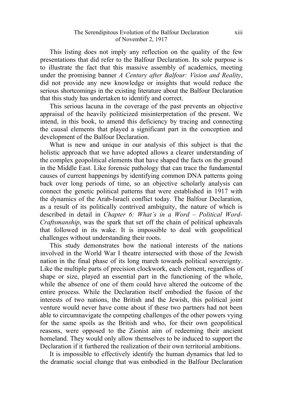This listing does not imply any reflection on the quality of the few presentations that did refer to the Balfour Declaration. Its sole purpose is to illustrate the fact that this massive assembly of academics, meeting under the promising banner *A Century after Balfour: Vision and Reality*, did not provide any new knowledge or insights that would reduce the serious shortcomings in the existing literature about the Balfour Declaration that this study has undertaken to identify and correct.

This serious lacuna in the coverage of the past prevents an objective appraisal of the heavily politicized misinterpretation of the present. We intend, in this book, to amend this deficiency by tracing and connecting the causal elements that played a significant part in the conception and development of the Balfour Declaration.

What is new and unique in our analysis of this subject is that the holistic approach that we have adopted allows a clearer understanding of the complex geopolitical elements that have shaped the facts on the ground in the Middle East. Like forensic pathology that can trace the fundamental causes of current happenings by identifying common DNA patterns going back over long periods of time, so an objective scholarly analysis can connect the genetic political patterns that were established in 1917 with the dynamics of the Arab-Israeli conflict today. The Balfour Declaration, as a result of its politically contrived ambiguity, the nature of which is described in detail in *Chapter 6: What's in a Word – Political Word-Craftsmanship*, was the spark that set off the chain of political upheavals that followed in its wake. It is impossible to deal with geopolitical challenges without understanding their roots.

This study demonstrates how the national interests of the nations involved in the World War I theatre intersected with those of the Jewish nation in the final phase of its long march towards political sovereignty. Like the multiple parts of precision clockwork, each element, regardless of shape or size, played an essential part in the functioning of the whole, while the absence of one of them could have altered the outcome of the entire process. While the Declaration itself embodied the fusion of the interests of two nations, the British and the Jewish, this political joint venture would never have come about if these two partners had not been able to circumnavigate the competing challenges of the other powers vying for the same spoils as the British and who, for their own geopolitical reasons, were opposed to the Zionist aim of redeeming their ancient homeland. They would only allow themselves to be induced to support the Declaration if it furthered the realization of their own territorial ambitions.

It is impossible to effectively identify the human dynamics that led to the dramatic social change that was embodied in the Balfour Declaration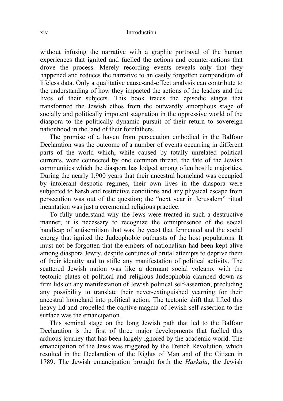#### xiv Introduction

without infusing the narrative with a graphic portrayal of the human experiences that ignited and fuelled the actions and counter-actions that drove the process. Merely recording events reveals only that they happened and reduces the narrative to an easily forgotten compendium of lifeless data. Only a qualitative cause-and-effect analysis can contribute to the understanding of how they impacted the actions of the leaders and the lives of their subjects. This book traces the episodic stages that transformed the Jewish ethos from the outwardly amorphous stage of socially and politically impotent stagnation in the oppressive world of the diaspora to the politically dynamic pursuit of their return to sovereign nationhood in the land of their forefathers.

The promise of a haven from persecution embodied in the Balfour Declaration was the outcome of a number of events occurring in different parts of the world which, while caused by totally unrelated political currents, were connected by one common thread, the fate of the Jewish communities which the diaspora has lodged among often hostile majorities. During the nearly 1,900 years that their ancestral homeland was occupied by intolerant despotic regimes, their own lives in the diaspora were subjected to harsh and restrictive conditions and any physical escape from persecution was out of the question; the "next year in Jerusalem" ritual incantation was just a ceremonial religious practice.

To fully understand why the Jews were treated in such a destructive manner, it is necessary to recognize the omnipresence of the social handicap of antisemitism that was the yeast that fermented and the social energy that ignited the Judeophobic outbursts of the host populations. It must not be forgotten that the embers of nationalism had been kept alive among diaspora Jewry, despite centuries of brutal attempts to deprive them of their identity and to stifle any manifestation of political activity. The scattered Jewish nation was like a dormant social volcano, with the tectonic plates of political and religious Judeophobia clamped down as firm lids on any manifestation of Jewish political self-assertion, precluding any possibility to translate their never-extinguished yearning for their ancestral homeland into political action. The tectonic shift that lifted this heavy lid and propelled the captive magma of Jewish self-assertion to the surface was the emancipation.

This seminal stage on the long Jewish path that led to the Balfour Declaration is the first of three major developments that fuelled this arduous journey that has been largely ignored by the academic world. The emancipation of the Jews was triggered by the French Revolution, which resulted in the Declaration of the Rights of Man and of the Citizen in 1789. The Jewish emancipation brought forth the *Haskala*, the Jewish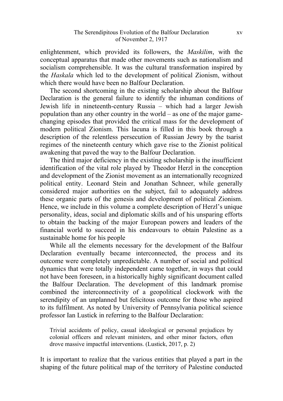enlightenment, which provided its followers, the *Maskilim*, with the conceptual apparatus that made other movements such as nationalism and socialism comprehensible. It was the cultural transformation inspired by the *Haskala* which led to the development of political Zionism, without which there would have been no Balfour Declaration.

The second shortcoming in the existing scholarship about the Balfour Declaration is the general failure to identify the inhuman conditions of Jewish life in nineteenth-century Russia – which had a larger Jewish population than any other country in the world – as one of the major gamechanging episodes that provided the critical mass for the development of modern political Zionism. This lacuna is filled in this book through a description of the relentless persecution of Russian Jewry by the tsarist regimes of the nineteenth century which gave rise to the Zionist political awakening that paved the way to the Balfour Declaration.

The third major deficiency in the existing scholarship is the insufficient identification of the vital role played by Theodor Herzl in the conception and development of the Zionist movement as an internationally recognized political entity. Leonard Stein and Jonathan Schneer, while generally considered major authorities on the subject, fail to adequately address these organic parts of the genesis and development of political Zionism. Hence, we include in this volume a complete description of Herzl's unique personality, ideas, social and diplomatic skills and of his unsparing efforts to obtain the backing of the major European powers and leaders of the financial world to succeed in his endeavours to obtain Palestine as a sustainable home for his people

While all the elements necessary for the development of the Balfour Declaration eventually became interconnected, the process and its outcome were completely unpredictable. A number of social and political dynamics that were totally independent came together, in ways that could not have been foreseen, in a historically highly significant document called the Balfour Declaration. The development of this landmark promise combined the interconnectivity of a geopolitical clockwork with the serendipity of an unplanned but felicitous outcome for those who aspired to its fulfilment. As noted by University of Pennsylvania political science professor Ian Lustick in referring to the Balfour Declaration:

Trivial accidents of policy, casual ideological or personal prejudices by colonial officers and relevant ministers, and other minor factors, often drove massive impactful interventions. (Lustick, 2017, p. 2)

It is important to realize that the various entities that played a part in the shaping of the future political map of the territory of Palestine conducted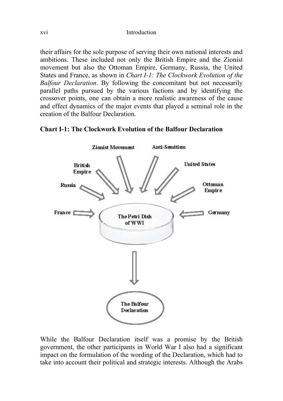their affairs for the sole purpose of serving their own national interests and ambitions. These included not only the British Empire and the Zionist movement but also the Ottoman Empire, Germany, Russia, the United States and France, as shown in *Chart I-1: The Clockwork Evolution of the Balfour Declaration*. By following the concomitant but not necessarily parallel paths pursued by the various factions and by identifying the crossover points, one can obtain a more realistic awareness of the cause and effect dynamics of the major events that played a seminal role in the creation of the Balfour Declaration.





While the Balfour Declaration itself was a promise by the British government, the other participants in World War I also had a significant impact on the formulation of the wording of the Declaration, which had to take into account their political and strategic interests. Although the Arabs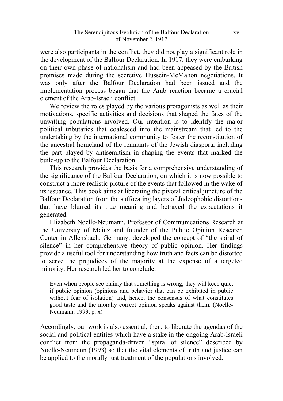were also participants in the conflict, they did not play a significant role in the development of the Balfour Declaration. In 1917, they were embarking on their own phase of nationalism and had been appeased by the British promises made during the secretive Hussein-McMahon negotiations. It was only after the Balfour Declaration had been issued and the implementation process began that the Arab reaction became a crucial element of the Arab-Israeli conflict.

We review the roles played by the various protagonists as well as their motivations, specific activities and decisions that shaped the fates of the unwitting populations involved. Our intention is to identify the major political tributaries that coalesced into the mainstream that led to the undertaking by the international community to foster the reconstitution of the ancestral homeland of the remnants of the Jewish diaspora, including the part played by antisemitism in shaping the events that marked the build-up to the Balfour Declaration.

This research provides the basis for a comprehensive understanding of the significance of the Balfour Declaration, on which it is now possible to construct a more realistic picture of the events that followed in the wake of its issuance. This book aims at liberating the pivotal critical juncture of the Balfour Declaration from the suffocating layers of Judeophobic distortions that have blurred its true meaning and betrayed the expectations it generated.

Elizabeth Noelle-Neumann, Professor of Communications Research at the University of Mainz and founder of the Public Opinion Research Center in Allensbach, Germany, developed the concept of "the spiral of silence" in her comprehensive theory of public opinion. Her findings provide a useful tool for understanding how truth and facts can be distorted to serve the prejudices of the majority at the expense of a targeted minority. Her research led her to conclude:

Even when people see plainly that something is wrong, they will keep quiet if public opinion (opinions and behavior that can be exhibited in public without fear of isolation) and, hence, the consensus of what constitutes good taste and the morally correct opinion speaks against them. (Noelle-Neumann, 1993, p. x)

Accordingly, our work is also essential, then, to liberate the agendas of the social and political entities which have a stake in the ongoing Arab-Israeli conflict from the propaganda-driven "spiral of silence" described by Noelle-Neumann (1993) so that the vital elements of truth and justice can be applied to the morally just treatment of the populations involved.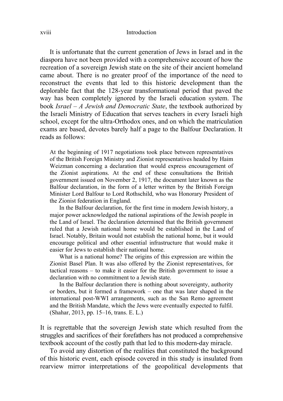#### xviii Introduction

It is unfortunate that the current generation of Jews in Israel and in the diaspora have not been provided with a comprehensive account of how the recreation of a sovereign Jewish state on the site of their ancient homeland came about. There is no greater proof of the importance of the need to reconstruct the events that led to this historic development than the deplorable fact that the 128-year transformational period that paved the way has been completely ignored by the Israeli education system. The book *Israel – A Jewish and Democratic State*, the textbook authorized by the Israeli Ministry of Education that serves teachers in every Israeli high school, except for the ultra-Orthodox ones, and on which the matriculation exams are based, devotes barely half a page to the Balfour Declaration. It reads as follows:

At the beginning of 1917 negotiations took place between representatives of the British Foreign Ministry and Zionist representatives headed by Haim Weizman concerning a declaration that would express encouragement of the Zionist aspirations. At the end of these consultations the British government issued on November 2, 1917, the document later known as the Balfour declaration, in the form of a letter written by the British Foreign Minister Lord Balfour to Lord Rothschild, who was Honorary President of the Zionist federation in England.

In the Balfour declaration, for the first time in modern Jewish history, a major power acknowledged the national aspirations of the Jewish people in the Land of Israel. The declaration determined that the British government ruled that a Jewish national home would be established in the Land of Israel. Notably, Britain would not establish the national home, but it would encourage political and other essential infrastructure that would make it easier for Jews to establish their national home.

What is a national home? The origins of this expression are within the Zionist Basel Plan. It was also offered by the Zionist representatives, for tactical reasons – to make it easier for the British government to issue a declaration with no commitment to a Jewish state.

In the Balfour declaration there is nothing about sovereignty, authority or borders, but it formed a framework – one that was later shaped in the international post-WWI arrangements, such as the San Remo agreement and the British Mandate, which the Jews were eventually expected to fulfil. (Shahar, 2013, pp. 15–16, trans. E. L.)

It is regrettable that the sovereign Jewish state which resulted from the struggles and sacrifices of their forefathers has not produced a comprehensive textbook account of the costly path that led to this modern-day miracle.

To avoid any distortion of the realities that constituted the background of this historic event, each episode covered in this study is insulated from rearview mirror interpretations of the geopolitical developments that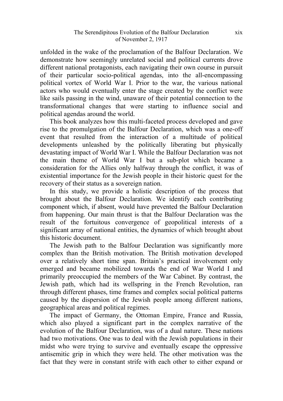unfolded in the wake of the proclamation of the Balfour Declaration. We demonstrate how seemingly unrelated social and political currents drove different national protagonists, each navigating their own course in pursuit of their particular socio-political agendas, into the all-encompassing political vortex of World War I. Prior to the war, the various national actors who would eventually enter the stage created by the conflict were like sails passing in the wind, unaware of their potential connection to the transformational changes that were starting to influence social and political agendas around the world.

This book analyzes how this multi-faceted process developed and gave rise to the promulgation of the Balfour Declaration, which was a one-off event that resulted from the interaction of a multitude of political developments unleashed by the politically liberating but physically devastating impact of World War I. While the Balfour Declaration was not the main theme of World War I but a sub-plot which became a consideration for the Allies only halfway through the conflict, it was of existential importance for the Jewish people in their historic quest for the recovery of their status as a sovereign nation.

In this study, we provide a holistic description of the process that brought about the Balfour Declaration. We identify each contributing component which, if absent, would have prevented the Balfour Declaration from happening. Our main thrust is that the Balfour Declaration was the result of the fortuitous convergence of geopolitical interests of a significant array of national entities, the dynamics of which brought about this historic document.

The Jewish path to the Balfour Declaration was significantly more complex than the British motivation. The British motivation developed over a relatively short time span. Britain's practical involvement only emerged and became mobilized towards the end of War World I and primarily preoccupied the members of the War Cabinet. By contrast, the Jewish path, which had its wellspring in the French Revolution, ran through different phases, time frames and complex social political patterns caused by the dispersion of the Jewish people among different nations, geographical areas and political regimes.

The impact of Germany, the Ottoman Empire, France and Russia, which also played a significant part in the complex narrative of the evolution of the Balfour Declaration, was of a dual nature. These nations had two motivations. One was to deal with the Jewish populations in their midst who were trying to survive and eventually escape the oppressive antisemitic grip in which they were held. The other motivation was the fact that they were in constant strife with each other to either expand or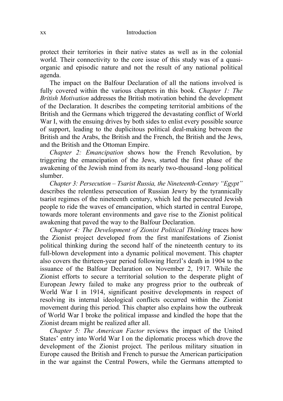protect their territories in their native states as well as in the colonial world. Their connectivity to the core issue of this study was of a quasiorganic and episodic nature and not the result of any national political agenda.

The impact on the Balfour Declaration of all the nations involved is fully covered within the various chapters in this book. *Chapter 1: The British Motivation* addresses the British motivation behind the development of the Declaration. It describes the competing territorial ambitions of the British and the Germans which triggered the devastating conflict of World War I, with the ensuing drives by both sides to enlist every possible source of support, leading to the duplicitous political deal-making between the British and the Arabs, the British and the French, the British and the Jews, and the British and the Ottoman Empire.

*Chapter 2: Emancipation* shows how the French Revolution, by triggering the emancipation of the Jews, started the first phase of the awakening of the Jewish mind from its nearly two-thousand -long political slumber.

*Chapter 3: Persecution – Tsarist Russia, the Nineteenth-Century "Egypt"* describes the relentless persecution of Russian Jewry by the tyrannically tsarist regimes of the nineteenth century, which led the persecuted Jewish people to ride the waves of emancipation, which started in central Europe, towards more tolerant environments and gave rise to the Zionist political awakening that paved the way to the Balfour Declaration.

*Chapter 4: The Development of Zionist Political Thinking* traces how the Zionist project developed from the first manifestations of Zionist political thinking during the second half of the nineteenth century to its full-blown development into a dynamic political movement. This chapter also covers the thirteen-year period following Herzl's death in 1904 to the issuance of the Balfour Declaration on November 2, 1917. While the Zionist efforts to secure a territorial solution to the desperate plight of European Jewry failed to make any progress prior to the outbreak of World War I in 1914, significant positive developments in respect of resolving its internal ideological conflicts occurred within the Zionist movement during this period. This chapter also explains how the outbreak of World War I broke the political impasse and kindled the hope that the Zionist dream might be realized after all.

*Chapter 5: The American Factor* reviews the impact of the United States' entry into World War I on the diplomatic process which drove the development of the Zionist project. The perilous military situation in Europe caused the British and French to pursue the American participation in the war against the Central Powers, while the Germans attempted to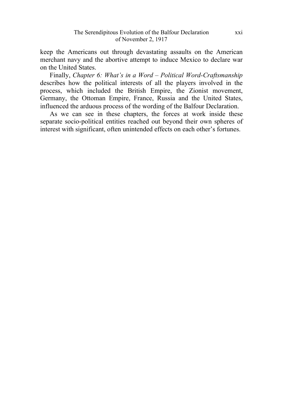keep the Americans out through devastating assaults on the American merchant navy and the abortive attempt to induce Mexico to declare war on the United States.

Finally, *Chapter 6: What's in a Word – Political Word-Craftsmanship* describes how the political interests of all the players involved in the process, which included the British Empire, the Zionist movement, Germany, the Ottoman Empire, France, Russia and the United States, influenced the arduous process of the wording of the Balfour Declaration.

As we can see in these chapters, the forces at work inside these separate socio-political entities reached out beyond their own spheres of interest with significant, often unintended effects on each other's fortunes.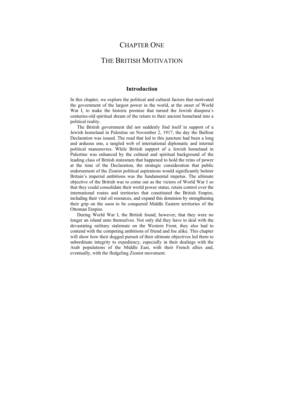## CHAPTER ONE

### THE BRITISH MOTIVATION

### **Introduction**

In this chapter, we explore the political and cultural factors that motivated the government of the largest power in the world, at the onset of World War I, to make the historic promise that turned the Jewish diaspora's centuries-old spiritual dream of the return to their ancient homeland into a political reality.

 The British government did not suddenly find itself in support of a Jewish homeland in Palestine on November 2, 1917, the day the Balfour Declaration was issued. The road that led to this juncture had been a long and arduous one, a tangled web of international diplomatic and internal political manoeuvres. While British support of a Jewish homeland in Palestine was enhanced by the cultural and spiritual background of the leading class of British statesmen that happened to hold the reins of power at the time of the Declaration, the strategic consideration that public endorsement of the Zionist political aspirations would significantly bolster Britain's imperial ambitions was the fundamental impetus. The ultimate objective of the British was to come out as the victors of World War I so that they could consolidate their world power status, retain control over the international routes and territories that constituted the British Empire, including their vital oil resources, and expand this dominion by strengthening their grip on the soon to be conquered Middle Eastern territories of the Ottoman Empire.

 During World War I, the British found, however, that they were no longer an island unto themselves. Not only did they have to deal with the devastating military stalemate on the Western Front, they also had to contend with the competing ambitions of friend and foe alike. This chapter will show how their dogged pursuit of their ultimate objectives led them to subordinate integrity to expediency, especially in their dealings with the Arab populations of the Middle East, with their French allies and, eventually, with the fledgeling Zionist movement.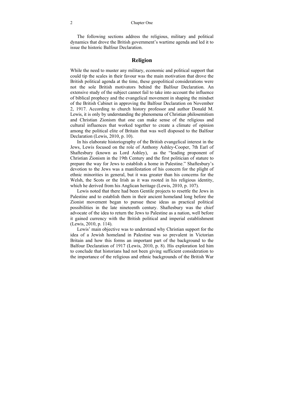The following sections address the religious, military and political dynamics that drove the British government's wartime agenda and led it to issue the historic Balfour Declaration.

### **Religion**

While the need to muster any military, economic and political support that could tip the scales in their favour was the main motivation that drove the British political agenda at the time, these geopolitical considerations were not the sole British motivators behind the Balfour Declaration. An extensive study of the subject cannot fail to take into account the influence of biblical prophecy and the evangelical movement in shaping the mindset of the British Cabinet in approving the Balfour Declaration on November 2, 1917. According to church history professor and author Donald M. Lewis, it is only by understanding the phenomena of Christian philosemitism and Christian Zionism that one can make sense of the religious and cultural influences that worked together to create a climate of opinion among the political elite of Britain that was well disposed to the Balfour Declaration (Lewis, 2010, p. 10).

 In his elaborate historiography of the British evangelical interest in the Jews, Lewis focused on the role of Anthony Ashley-Cooper, 7th Earl of Shaftesbury (known as Lord Ashley), as the "leading proponent of Christian Zionism in the 19th Century and the first politician of stature to prepare the way for Jews to establish a home in Palestine." Shaftesbury's devotion to the Jews was a manifestation of his concern for the plight of ethnic minorities in general, but it was greater than his concerns for the Welsh, the Scots or the Irish as it was rooted in his religious identity, which he derived from his Anglican heritage (Lewis, 2010, p. 107).

 Lewis noted that there had been Gentile projects to resettle the Jews in Palestine and to establish them in their ancient homeland long before the Zionist movement began to pursue these ideas as practical political possibilities in the late nineteenth century. Shaftesbury was the chief advocate of the idea to return the Jews to Palestine as a nation, well before it gained currency with the British political and imperial establishment (Lewis, 2010, p. 114).

 Lewis' main objective was to understand why Christian support for the idea of a Jewish homeland in Palestine was so prevalent in Victorian Britain and how this forms an important part of the background to the Balfour Declaration of 1917 (Lewis, 2010, p. 8). His exploration led him to conclude that historians had not been giving sufficient consideration to the importance of the religious and ethnic backgrounds of the British War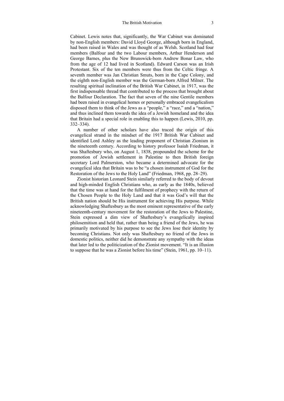Cabinet. Lewis notes that, significantly, the War Cabinet was dominated by non-English members: David Lloyd George, although born in England, had been raised in Wales and was thought of as Welsh. Scotland had four members (Balfour and the two Labour members, Arthur Henderson and George Barnes, plus the New Brunswick-born Andrew Bonar Law, who from the age of 12 had lived in Scotland). Edward Carson was an Irish Protestant. Six of the ten members were thus from the Celtic fringe. A seventh member was Jan Christian Smuts, born in the Cape Colony, and the eighth non-English member was the German-born Alfred Milner. The resulting spiritual inclination of the British War Cabinet, in 1917, was the first indispensable thread that contributed to the process that brought about the Balfour Declaration. The fact that seven of the nine Gentile members had been raised in evangelical homes or personally embraced evangelicalism disposed them to think of the Jews as a "people," a "race," and a "nation," and thus inclined them towards the idea of a Jewish homeland and the idea that Britain had a special role in enabling this to happen (Lewis, 2010, pp. 332–334).

 A number of other scholars have also traced the origin of this evangelical strand in the mindset of the 1917 British War Cabinet and identified Lord Ashley as the leading proponent of Christian Zionism in the nineteenth century. According to history professor Isaiah Friedman, it was Shaftesbury who, on August 1, 1838, propounded the scheme for the promotion of Jewish settlement in Palestine to then British foreign secretary Lord Palmerston, who became a determined advocate for the evangelical idea that Britain was to be "a chosen instrument of God for the Restoration of the Jews to the Holy Land" (Friedman, 1968, pp. 28–29).

 Zionist historian Leonard Stein similarly referred to the body of devout and high-minded English Christians who, as early as the 1840s, believed that the time was at hand for the fulfilment of prophecy with the return of the Chosen People to the Holy Land and that it was God's will that the British nation should be His instrument for achieving His purpose. While acknowledging Shaftesbury as the most eminent representative of the early nineteenth-century movement for the restoration of the Jews to Palestine, Stein expressed a dim view of Shaftesbury's evangelically inspired philosemitism and held that, rather than being a friend of the Jews, he was primarily motivated by his purpose to see the Jews lose their identity by becoming Christians. Not only was Shaftesbury no friend of the Jews in domestic politics, neither did he demonstrate any sympathy with the ideas that later led to the politicization of the Zionist movement. "It is an illusion to suppose that he was a Zionist before his time" (Stein, 1961, pp. 10–11).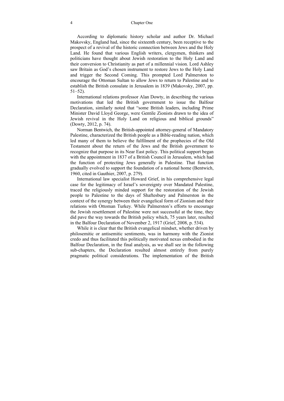According to diplomatic history scholar and author Dr. Michael Makovsky, England had, since the sixteenth century, been receptive to the prospect of a revival of the historic connection between Jews and the Holy Land. He found that various English writers, clergymen, thinkers and politicians have thought about Jewish restoration to the Holy Land and their conversion to Christianity as part of a millennial vision. Lord Ashley saw Britain as God's chosen instrument to restore Jews to the Holy Land and trigger the Second Coming. This prompted Lord Palmerston to encourage the Ottoman Sultan to allow Jews to return to Palestine and to establish the British consulate in Jerusalem in 1839 (Makovsky, 2007, pp. 51–52).

 International relations professor Alan Dowty, in describing the various motivations that led the British government to issue the Balfour Declaration, similarly noted that "some British leaders, including Prime Minister David Lloyd George, were Gentile Zionists drawn to the idea of Jewish revival in the Holy Land on religious and biblical grounds" (Dowty, 2012, p. 74).

 Norman Bentwich, the British-appointed attorney-general of Mandatory Palestine, characterized the British people as a Bible-reading nation, which led many of them to believe the fulfilment of the prophecies of the Old Testament about the return of the Jews and the British government to recognize that purpose in its Near East policy. This political support began with the appointment in 1837 of a British Council in Jerusalem, which had the function of protecting Jews generally in Palestine. That function gradually evolved to support the foundation of a national home (Bentwich, 1960, cited in Gauthier, 2007, p. 279).

 International law specialist Howard Grief, in his comprehensive legal case for the legitimacy of Israel's sovereignty over Mandated Palestine, traced the religiously minded support for the restoration of the Jewish people to Palestine to the days of Shaftesbury and Palmerston in the context of the synergy between their evangelical form of Zionism and their relations with Ottoman Turkey. While Palmerston's efforts to encourage the Jewish resettlement of Palestine were not successful at the time, they did pave the way towards the British policy which, 75 years later, resulted in the Balfour Declaration of November 2, 1917 (Grief, 2008, p. 534).

 While it is clear that the British evangelical mindset, whether driven by philosemitic or antisemitic sentiments, was in harmony with the Zionist credo and thus facilitated this politically motivated nexus embodied in the Balfour Declaration, in the final analysis, as we shall see in the following sub-chapters, the Declaration resulted almost entirely from purely pragmatic political considerations. The implementation of the British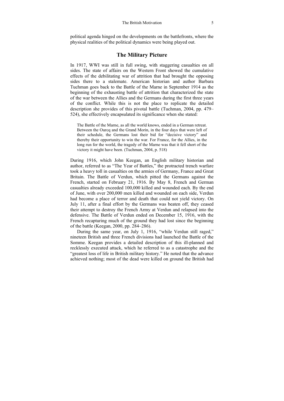political agenda hinged on the developments on the battlefronts, where the physical realities of the political dynamics were being played out.

### **The Military Picture**

In 1917, WWI was still in full swing, with staggering casualties on all sides. The state of affairs on the Western Front showed the cumulative effects of the debilitating war of attrition that had brought the opposing sides there to a stalemate. American historian and author Barbara Tuchman goes back to the Battle of the Marne in September 1914 as the beginning of the exhausting battle of attrition that characterized the state of the war between the Allies and the Germans during the first three years of the conflict. While this is not the place to replicate the detailed description she provides of this pivotal battle (Tuchman, 2004, pp. 479– 524), she effectively encapsulated its significance when she stated:

The Battle of the Marne, as all the world knows, ended in a German retreat. Between the Ourcq and the Grand Morin, in the four days that were left of their schedule, the Germans lost their bid for "decisive victory" and thereby their opportunity to win the war. For France, for the Allies, in the long run for the world, the tragedy of the Marne was that it fell short of the victory it might have been. (Tuchman, 2004, p. 518)

During 1916, which John Keegan, an English military historian and author, referred to as "The Year of Battles," the protracted trench warfare took a heavy toll in casualties on the armies of Germany, France and Great Britain. The Battle of Verdun, which pitted the Germans against the French, started on February 21, 1916. By May 8, French and German casualties already exceeded 100,000 killed and wounded each. By the end of June, with over 200,000 men killed and wounded on each side, Verdun had become a place of terror and death that could not yield victory. On July 11, after a final effort by the Germans was beaten off, they ceased their attempt to destroy the French Army at Verdun and relapsed into the defensive. The Battle of Verdun ended on December 15, 1916, with the French recapturing much of the ground they had lost since the beginning of the battle (Keegan, 2000, pp. 284–286).

 During the same year, on July 1, 1916, "while Verdun still raged," nineteen British and three French divisions had launched the Battle of the Somme. Keegan provides a detailed description of this ill-planned and recklessly executed attack, which he referred to as a catastrophe and the "greatest loss of life in British military history." He noted that the advance achieved nothing; most of the dead were killed on ground the British had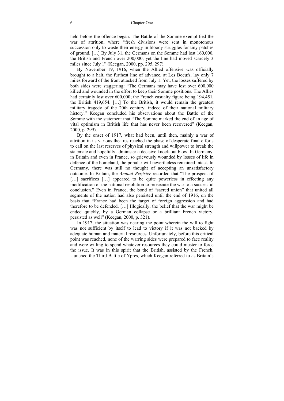held before the offence began. The Battle of the Somme exemplified the war of attrition, where "fresh divisions were sent in monotonous succession only to waste their energy in bloody struggles for tiny patches of ground. […] By July 31, the Germans on the Somme had lost 160,000, the British and French over 200,000, yet the line had moved scarcely 3 miles since July 1" (Keegan, 2000, pp. 295, 297).

 By November 19, 1916, when the Allied offensive was officially brought to a halt, the furthest line of advance, at Les Boeufs, lay only 7 miles forward of the front attacked from July 1. Yet, the losses suffered by both sides were staggering: "The Germans may have lost over 600,000 killed and wounded in the effort to keep their Somme positions. The Allies had certainly lost over 600,000; the French casualty figure being 194,451, the British 419,654. […] To the British, it would remain the greatest military tragedy of the 20th century, indeed of their national military history." Keegan concluded his observations about the Battle of the Somme with the statement that "The Somme marked the end of an age of vital optimism in British life that has never been recovered" (Keegan, 2000, p. 299).

 By the onset of 1917, what had been, until then, mainly a war of attrition in its various theatres reached the phase of desperate final efforts to call on the last reserves of physical strength and willpower to break the stalemate and hopefully administer a decisive knock-out blow. In Germany, in Britain and even in France, so grievously wounded by losses of life in defence of the homeland, the popular will nevertheless remained intact. In Germany, there was still no thought of accepting an unsatisfactory outcome. In Britain, the *Annual Register* recorded that "The prospect of [...] sacrifices [...] appeared to be quite powerless in effecting any modification of the national resolution to prosecute the war to a successful conclusion." Even in France, the bond of "sacred union" that united all segments of the nation had also persisted until the end of 1916, on the basis that "France had been the target of foreign aggression and had therefore to be defended. […] Illogically, the belief that the war might be ended quickly, by a German collapse or a brilliant French victory, persisted as well" (Keegan, 2000, p. 321).

 In 1917, the situation was nearing the point wherein the will to fight was not sufficient by itself to lead to victory if it was not backed by adequate human and material resources. Unfortunately, before this critical point was reached, none of the warring sides were prepared to face reality and were willing to spend whatever resources they could muster to force the issue. It was in this spirit that the British, assisted by the French, launched the Third Battle of Ypres, which Keegan referred to as Britain's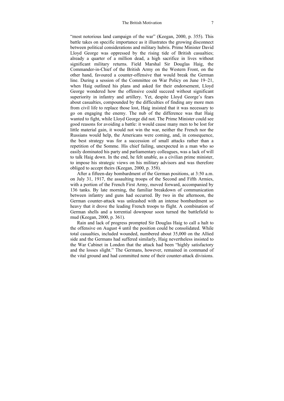"most notorious land campaign of the war" (Keegan, 2000, p. 355). This battle takes on specific importance as it illustrates the growing disconnect between political considerations and military hubris. Prime Minister David Lloyd George was oppressed by the rising tide of British casualties; already a quarter of a million dead, a high sacrifice in lives without significant military returns. Field Marshal Sir Douglas Haig, the Commander-in-Chief of the British Army on the Western Front, on the other hand, favoured a counter-offensive that would break the German line. During a session of the Committee on War Policy on June 19–21, when Haig outlined his plans and asked for their endorsement, Lloyd George wondered how the offensive could succeed without significant superiority in infantry and artillery. Yet, despite Lloyd George's fears about casualties, compounded by the difficulties of finding any more men from civil life to replace those lost, Haig insisted that it was necessary to go on engaging the enemy. The nub of the difference was that Haig wanted to fight, while Lloyd George did not. The Prime Minister could see good reasons for avoiding a battle: it would cause many men to be lost for little material gain, it would not win the war, neither the French nor the Russians would help, the Americans were coming, and, in consequence, the best strategy was for a succession of small attacks rather than a repetition of the Somme. His chief failing, unexpected in a man who so easily dominated his party and parliamentary colleagues, was a lack of will to talk Haig down. In the end, he felt unable, as a civilian prime minister, to impose his strategic views on his military advisors and was therefore obliged to accept theirs (Keegan, 2000, p. 358).

 After a fifteen-day bombardment of the German positions, at 3:50 a.m. on July 31, 1917, the assaulting troops of the Second and Fifth Armies, with a portion of the French First Army, moved forward, accompanied by 136 tanks. By late morning, the familiar breakdown of communication between infantry and guns had occurred. By two in the afternoon, the German counter-attack was unleashed with an intense bombardment so heavy that it drove the leading French troops to flight. A combination of German shells and a torrential downpour soon turned the battlefield to mud (Keegan, 2000, p. 361).

 Rain and lack of progress prompted Sir Douglas Haig to call a halt to the offensive on August 4 until the position could be consolidated. While total casualties, included wounded, numbered about 35,000 on the Allied side and the Germans had suffered similarly, Haig nevertheless insisted to the War Cabinet in London that the attack had been "highly satisfactory and the losses slight." The Germans, however, remained in command of the vital ground and had committed none of their counter-attack divisions.